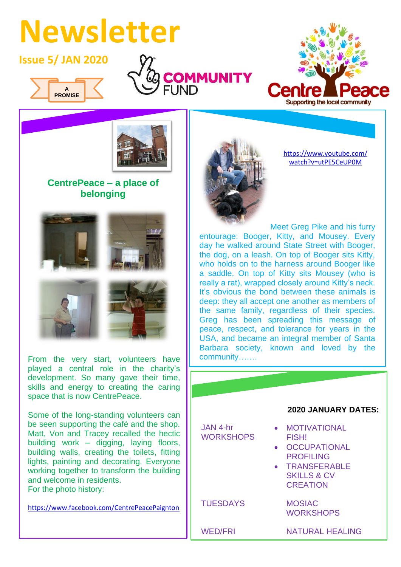## **Newsletter**

## **Issue 5/ JAN 2020**



I







## **CentrePeace – a place of belonging**



From the very start, volunteers have played a central role in the charity's development. So many gave their time, skills and energy to creating the caring space that is now CentrePeace.

• TRANSFERABLE  $\mathbb{R}$  skills  $\mathbb{R}$ **CREATION** 

Some of the long-standing volunteers can be seen supporting the café and the shop. Matt, Von and Tracey recalled the hectic building work – digging, laying floors, building walls, creating the toilets, fitting lights, painting and decorating. Everyone working together to transform the building and welcome in residents. For the photo history:

[https://www.facebook.com/CentrePeacePaignton](https://www.facebook.com/CentrePeacePaignton/)



[https://www.youtube.com/](https://www.youtube.com/watch?v=utPE5CeUP0M) [watch?v=utPE5CeUP0M](https://www.youtube.com/watch?v=utPE5CeUP0M)

Meet Greg Pike and his furry entourage: Booger, Kitty, and Mousey. Every day he walked around State Street with Booger, the dog, on a leash. On top of Booger sits Kitty, who holds on to the harness around Booger like a saddle. On top of Kitty sits Mousey (who is really a rat), wrapped closely around Kitty's neck. It's obvious the bond between these animals is deep: they all accept one another as members of the same family, regardless of their species. Greg has been spreading this message of peace, respect, and tolerance for years in the USA, and became an integral member of Santa Barbara society, known and loved by the community…….